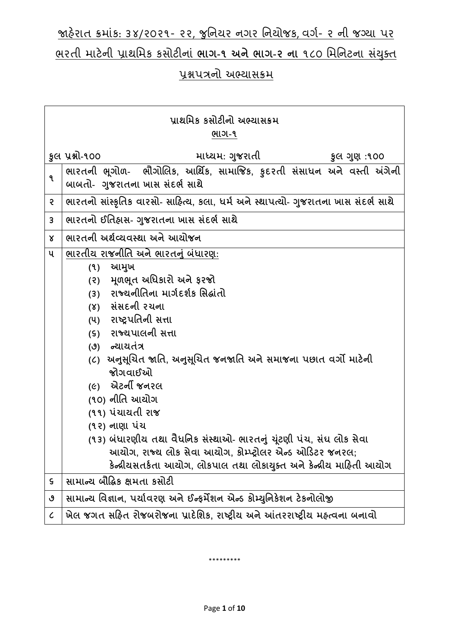# જાહેરાત ક્રમાંક: ૩૪/૨૦૨૧- ૨૨, જુનિયર નગર નિયોજક, વર્ગ- ૨ ની જગ્યા પર ભરતી માટેિી પ્રાથનમક કસોટીિાાં **ભાગ-૧ અનેભાગ-૨ ના** ૧૮૦ નમનિટિા સયાં ક્ુત

# પ્રશ્નપત્રનો અભ્યાસક્રમ

| પાથમિક કસોટીનો અભ્યાસક્રમ   |                                                                                                            |  |
|-----------------------------|------------------------------------------------------------------------------------------------------------|--|
|                             | ભાગ-૧                                                                                                      |  |
|                             | કુલ પ્રશ્નો-૧૦૦<br>માધ્યમ: ગુજરાતી<br>કુલ ગુણ :૧૦૦                                                         |  |
| ੧                           | ભારતની ભૂગોળ-  ભૌગોલિક, આર્થિક, સામાજિક, કુદરતી સંસાધન અને વસ્તી અંગેની<br>બાબતો- ગુજરાતના ખાસ સંદર્ભ સાથે |  |
| S                           | ભારતનો સાંસ્કૃતિક વારસો- સાહિત્ય, કલા, ધર્મ અને સ્થાપત્યો- ગુજરાતના ખાસ સંદર્ભ સાથે                        |  |
| $\mathbf{3}$                | ભારતનો ઈતિહ્વસ- ગુજરાતના ખાસ સંદર્ભ સાથે                                                                   |  |
| $\mathsf{X}$                | ભારતની અર્થવ્યવસ્થા અને આયોજન                                                                              |  |
| ૫                           | ભારતીય રાજનીતિ અને ભારતનું બંધારણ:                                                                         |  |
|                             | આમુખ<br>(9)                                                                                                |  |
|                             | (૨) મૂળભૂત અધિકારો અને ફરજો                                                                                |  |
|                             | રાજ્યનીતિના માર્ગદર્શક સિદ્ધાંતો<br>(3)                                                                    |  |
|                             | (४) સંસદની રચના                                                                                            |  |
|                             | (૫) રાષ્ટ્રપતિની સત્તા                                                                                     |  |
|                             | (s) રાજ્યપાલની સત્તા                                                                                       |  |
|                             | (૭) ન્યાયતંત્ર                                                                                             |  |
|                             | (૮)  અનુસૂચિત જાતિ, અનુસૂચિત જનજાતિ અને સમાજના પછાત વર્ગો માટેની                                           |  |
|                             | જોગવાઈઓ                                                                                                    |  |
|                             | <i>(૯)</i> એટર્ની જનરલ                                                                                     |  |
|                             | (૧૦) નીતિ આચોગ                                                                                             |  |
|                             | (૧૧) પંચાયતી રાજ                                                                                           |  |
|                             | (૧૨) નાણા પંચ                                                                                              |  |
|                             | (૧૩) બંધારણીય તથા વૈધનિક સંસ્થાઓ- ભારતનું ચૂંટણી પંચ, સંઘ લોક સેવા                                         |  |
|                             | આયોગ, રાજ્ય લોક સેવા આયોગ, કોમ્પ્ટ્રોલર એન્ડ ઓડિટર જનરલ;                                                   |  |
|                             | કેન્દ્રીયસતર્કતા આયોગ, લોકપાલ તથા લોકાયુક્ત અને કેન્દ્રીય માહિતી આયોગ                                      |  |
| ς                           | સામાન્ય બૌદ્ધિક ક્ષમતા કસોટી                                                                               |  |
| ৩                           | સામાન્ય વિજ્ઞાન, પર્યાવરણ અને ઈન્ફર્મેશન એન્ડ કોમ્યુનિકેશન ટેકનોલોજી                                       |  |
| $\mathcal{C}_{\mathcal{C}}$ | ખેલ જગત સહિત રોજબરોજના પ્રાદેશિક, રાષ્ટ્રીય અને આંતરરાષ્ટ્રીય મહ્ત્વના બનાવો                               |  |

\*\*\*\*\*\*\*\*\*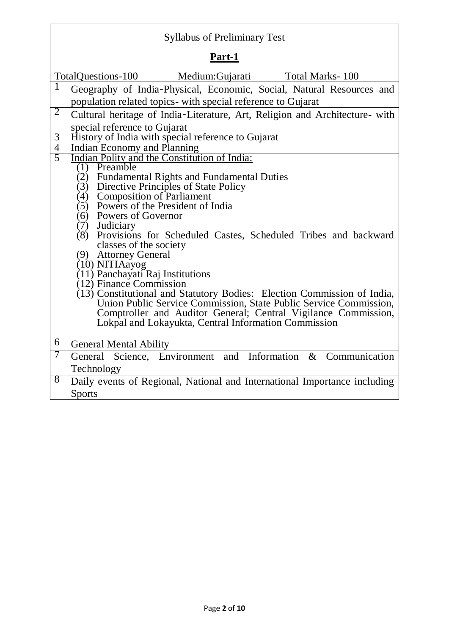| <b>Syllabus of Preliminary Test</b> |                                                                                                                                              |  |
|-------------------------------------|----------------------------------------------------------------------------------------------------------------------------------------------|--|
| Part-1                              |                                                                                                                                              |  |
|                                     | TotalQuestions-100<br>Medium:Gujarati<br>Total Marks-100                                                                                     |  |
| 1                                   | Geography of India-Physical, Economic, Social, Natural Resources and<br>population related topics- with special reference to Gujarat         |  |
| $\overline{2}$                      | Cultural heritage of India-Literature, Art, Religion and Architecture- with<br>special reference to Gujarat                                  |  |
| 3                                   | History of India with special reference to Gujarat                                                                                           |  |
| $\overline{4}$                      | Indian Economy and Planning                                                                                                                  |  |
| 5                                   | Indian Polity and the Constitution of India:                                                                                                 |  |
|                                     | (1) Preamble                                                                                                                                 |  |
|                                     | (2) Fundamental Rights and Fundamental Duties                                                                                                |  |
|                                     | Directive Principles of State Policy<br>(3)<br><b>Composition of Parliament</b><br>(4)                                                       |  |
|                                     | Powers of the President of India<br>(5)                                                                                                      |  |
|                                     | Powers of Governor<br>(6)                                                                                                                    |  |
|                                     | (7)<br>Judiciary                                                                                                                             |  |
|                                     | Provisions for Scheduled Castes, Scheduled Tribes and backward<br>(8)                                                                        |  |
|                                     | classes of the society                                                                                                                       |  |
|                                     | (9) Attorney General                                                                                                                         |  |
|                                     | (10) NITIAayog                                                                                                                               |  |
|                                     | (11) Panchayati Raj Institutions                                                                                                             |  |
|                                     | (12) Finance Commission                                                                                                                      |  |
|                                     | (13) Constitutional and Statutory Bodies: Election Commission of India,<br>Union Public Service Commission, State Public Service Commission, |  |
|                                     | Comptroller and Auditor General; Central Vigilance Commission,                                                                               |  |
|                                     | Lokpal and Lokayukta, Central Information Commission                                                                                         |  |
|                                     |                                                                                                                                              |  |
| $\overline{6}$                      | <b>General Mental Ability</b>                                                                                                                |  |
| 7                                   | Science, Environment and Information & Communication<br>General                                                                              |  |
|                                     | Technology                                                                                                                                   |  |
| 8                                   | Daily events of Regional, National and International Importance including                                                                    |  |
|                                     | <b>Sports</b>                                                                                                                                |  |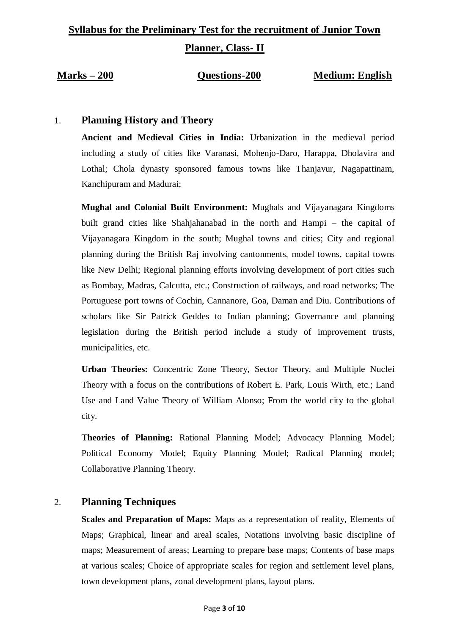# **Syllabus for the Preliminary Test for the recruitment of Junior Town**

**Planner, Class- II**

#### **Marks – 200 Questions-200 Medium: English**

# 1. **Planning History and Theory**

**Ancient and Medieval Cities in India:** Urbanization in the medieval period including a study of cities like Varanasi, Mohenjo-Daro, Harappa, Dholavira and Lothal; Chola dynasty sponsored famous towns like Thanjavur, Nagapattinam, Kanchipuram and Madurai;

**Mughal and Colonial Built Environment:** Mughals and Vijayanagara Kingdoms built grand cities like Shahjahanabad in the north and Hampi – the capital of Vijayanagara Kingdom in the south; Mughal towns and cities; City and regional planning during the British Raj involving cantonments, model towns, capital towns like New Delhi; Regional planning efforts involving development of port cities such as Bombay, Madras, Calcutta, etc.; Construction of railways, and road networks; The Portuguese port towns of Cochin, Cannanore, Goa, Daman and Diu. Contributions of scholars like Sir Patrick Geddes to Indian planning; Governance and planning legislation during the British period include a study of improvement trusts, municipalities, etc.

**Urban Theories:** Concentric Zone Theory, Sector Theory, and Multiple Nuclei Theory with a focus on the contributions of Robert E. Park, Louis Wirth, etc.; Land Use and Land Value Theory of William Alonso; From the world city to the global city.

**Theories of Planning:** Rational Planning Model; Advocacy Planning Model; Political Economy Model; Equity Planning Model; Radical Planning model; Collaborative Planning Theory.

# 2. **Planning Techniques**

**Scales and Preparation of Maps:** Maps as a representation of reality, Elements of Maps; Graphical, linear and areal scales, Notations involving basic discipline of maps; Measurement of areas; Learning to prepare base maps; Contents of base maps at various scales; Choice of appropriate scales for region and settlement level plans, town development plans, zonal development plans, layout plans.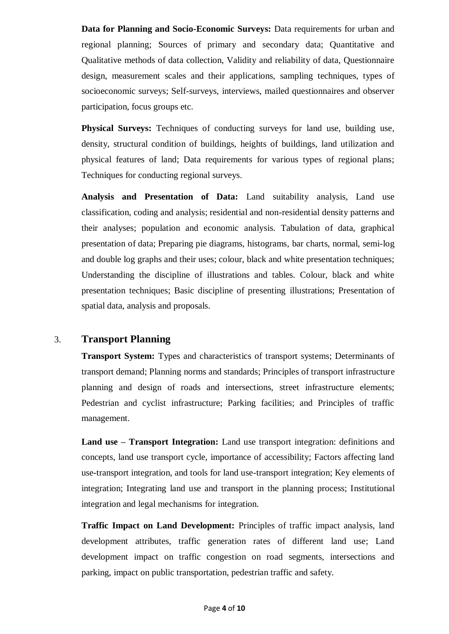**Data for Planning and Socio-Economic Surveys:** Data requirements for urban and regional planning; Sources of primary and secondary data; Quantitative and Qualitative methods of data collection, Validity and reliability of data, Questionnaire design, measurement scales and their applications, sampling techniques, types of socioeconomic surveys; Self-surveys, interviews, mailed questionnaires and observer participation, focus groups etc.

**Physical Surveys:** Techniques of conducting surveys for land use, building use, density, structural condition of buildings, heights of buildings, land utilization and physical features of land; Data requirements for various types of regional plans; Techniques for conducting regional surveys.

**Analysis and Presentation of Data:** Land suitability analysis, Land use classification, coding and analysis; residential and non-residential density patterns and their analyses; population and economic analysis. Tabulation of data, graphical presentation of data; Preparing pie diagrams, histograms, bar charts, normal, semi-log and double log graphs and their uses; colour, black and white presentation techniques; Understanding the discipline of illustrations and tables. Colour, black and white presentation techniques; Basic discipline of presenting illustrations; Presentation of spatial data, analysis and proposals.

#### 3. **Transport Planning**

**Transport System:** Types and characteristics of transport systems; Determinants of transport demand; Planning norms and standards; Principles of transport infrastructure planning and design of roads and intersections, street infrastructure elements; Pedestrian and cyclist infrastructure; Parking facilities; and Principles of traffic management.

**Land use – Transport Integration:** Land use transport integration: definitions and concepts, land use transport cycle, importance of accessibility; Factors affecting land use-transport integration, and tools for land use-transport integration; Key elements of integration; Integrating land use and transport in the planning process; Institutional integration and legal mechanisms for integration.

**Traffic Impact on Land Development:** Principles of traffic impact analysis, land development attributes, traffic generation rates of different land use; Land development impact on traffic congestion on road segments, intersections and parking, impact on public transportation, pedestrian traffic and safety.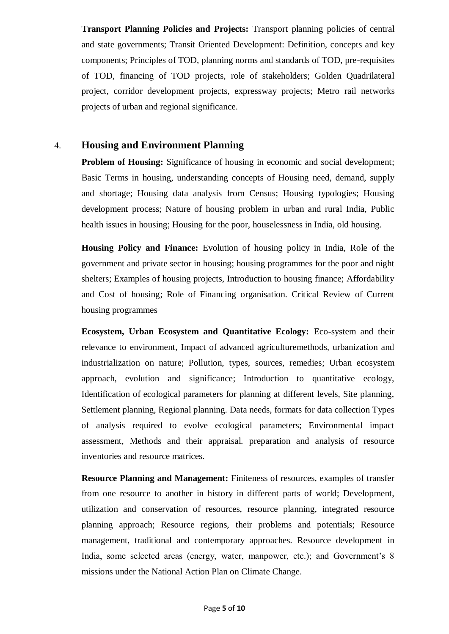**Transport Planning Policies and Projects:** Transport planning policies of central and state governments; Transit Oriented Development: Definition, concepts and key components; Principles of TOD, planning norms and standards of TOD, pre-requisites of TOD, financing of TOD projects, role of stakeholders; Golden Quadrilateral project, corridor development projects, expressway projects; Metro rail networks projects of urban and regional significance.

## 4. **Housing and Environment Planning**

**Problem of Housing:** Significance of housing in economic and social development; Basic Terms in housing, understanding concepts of Housing need, demand, supply and shortage; Housing data analysis from Census; Housing typologies; Housing development process; Nature of housing problem in urban and rural India, Public health issues in housing; Housing for the poor, houselessness in India, old housing.

**Housing Policy and Finance:** Evolution of housing policy in India, Role of the government and private sector in housing; housing programmes for the poor and night shelters; Examples of housing projects, Introduction to housing finance; Affordability and Cost of housing; Role of Financing organisation. Critical Review of Current housing programmes

**Ecosystem, Urban Ecosystem and Quantitative Ecology:** Eco-system and their relevance to environment, Impact of advanced agriculturemethods, urbanization and industrialization on nature; Pollution, types, sources, remedies; Urban ecosystem approach, evolution and significance; Introduction to quantitative ecology, Identification of ecological parameters for planning at different levels, Site planning, Settlement planning, Regional planning. Data needs, formats for data collection Types of analysis required to evolve ecological parameters; Environmental impact assessment, Methods and their appraisal. preparation and analysis of resource inventories and resource matrices.

**Resource Planning and Management:** Finiteness of resources, examples of transfer from one resource to another in history in different parts of world; Development, utilization and conservation of resources, resource planning, integrated resource planning approach; Resource regions, their problems and potentials; Resource management, traditional and contemporary approaches. Resource development in India, some selected areas (energy, water, manpower, etc.); and Government's 8 missions under the National Action Plan on Climate Change.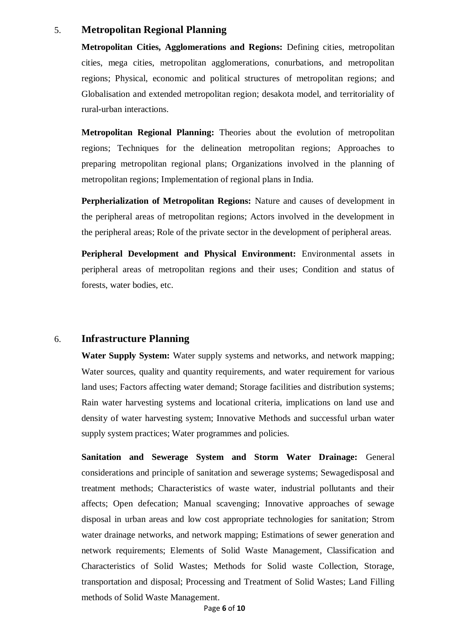## 5. **Metropolitan Regional Planning**

**Metropolitan Cities, Agglomerations and Regions:** Defining cities, metropolitan cities, mega cities, metropolitan agglomerations, conurbations, and metropolitan regions; Physical, economic and political structures of metropolitan regions; and Globalisation and extended metropolitan region; desakota model, and territoriality of rural-urban interactions.

**Metropolitan Regional Planning:** Theories about the evolution of metropolitan regions; Techniques for the delineation metropolitan regions; Approaches to preparing metropolitan regional plans; Organizations involved in the planning of metropolitan regions; Implementation of regional plans in India.

**Perpherialization of Metropolitan Regions:** Nature and causes of development in the peripheral areas of metropolitan regions; Actors involved in the development in the peripheral areas; Role of the private sector in the development of peripheral areas.

**Peripheral Development and Physical Environment:** Environmental assets in peripheral areas of metropolitan regions and their uses; Condition and status of forests, water bodies, etc.

#### 6. **Infrastructure Planning**

**Water Supply System:** Water supply systems and networks, and network mapping; Water sources, quality and quantity requirements, and water requirement for various land uses; Factors affecting water demand; Storage facilities and distribution systems; Rain water harvesting systems and locational criteria, implications on land use and density of water harvesting system; Innovative Methods and successful urban water supply system practices; Water programmes and policies.

**Sanitation and Sewerage System and Storm Water Drainage:** General considerations and principle of sanitation and sewerage systems; Sewagedisposal and treatment methods; Characteristics of waste water, industrial pollutants and their affects; Open defecation; Manual scavenging; Innovative approaches of sewage disposal in urban areas and low cost appropriate technologies for sanitation; Strom water drainage networks, and network mapping; Estimations of sewer generation and network requirements; Elements of Solid Waste Management, Classification and Characteristics of Solid Wastes; Methods for Solid waste Collection, Storage, transportation and disposal; Processing and Treatment of Solid Wastes; Land Filling methods of Solid Waste Management.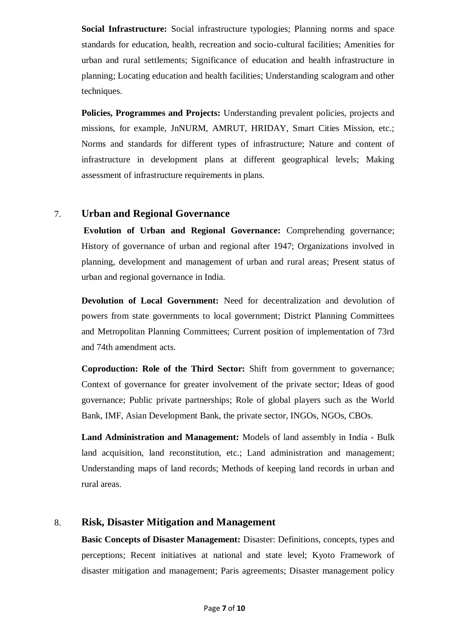**Social Infrastructure:** Social infrastructure typologies; Planning norms and space standards for education, health, recreation and socio-cultural facilities; Amenities for urban and rural settlements; Significance of education and health infrastructure in planning; Locating education and health facilities; Understanding scalogram and other techniques.

**Policies, Programmes and Projects:** Understanding prevalent policies, projects and missions, for example, JnNURM, AMRUT, HRIDAY, Smart Cities Mission, etc.; Norms and standards for different types of infrastructure; Nature and content of infrastructure in development plans at different geographical levels; Making assessment of infrastructure requirements in plans.

#### 7. **Urban and Regional Governance**

**Evolution of Urban and Regional Governance:** Comprehending governance; History of governance of urban and regional after 1947; Organizations involved in planning, development and management of urban and rural areas; Present status of urban and regional governance in India.

**Devolution of Local Government:** Need for decentralization and devolution of powers from state governments to local government; District Planning Committees and Metropolitan Planning Committees; Current position of implementation of 73rd and 74th amendment acts.

**Coproduction: Role of the Third Sector:** Shift from government to governance; Context of governance for greater involvement of the private sector; Ideas of good governance; Public private partnerships; Role of global players such as the World Bank, IMF, Asian Development Bank, the private sector, INGOs, NGOs, CBOs.

**Land Administration and Management:** Models of land assembly in India - Bulk land acquisition, land reconstitution, etc.; Land administration and management; Understanding maps of land records; Methods of keeping land records in urban and rural areas.

# 8. **Risk, Disaster Mitigation and Management**

**Basic Concepts of Disaster Management:** Disaster: Definitions, concepts, types and perceptions; Recent initiatives at national and state level; Kyoto Framework of disaster mitigation and management; Paris agreements; Disaster management policy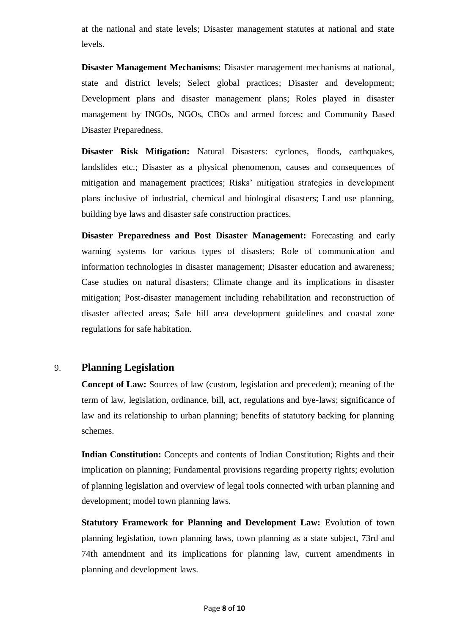at the national and state levels; Disaster management statutes at national and state levels.

**Disaster Management Mechanisms:** Disaster management mechanisms at national, state and district levels; Select global practices; Disaster and development; Development plans and disaster management plans; Roles played in disaster management by INGOs, NGOs, CBOs and armed forces; and Community Based Disaster Preparedness.

**Disaster Risk Mitigation:** Natural Disasters: cyclones, floods, earthquakes, landslides etc.; Disaster as a physical phenomenon, causes and consequences of mitigation and management practices; Risks' mitigation strategies in development plans inclusive of industrial, chemical and biological disasters; Land use planning, building bye laws and disaster safe construction practices.

**Disaster Preparedness and Post Disaster Management:** Forecasting and early warning systems for various types of disasters; Role of communication and information technologies in disaster management; Disaster education and awareness; Case studies on natural disasters; Climate change and its implications in disaster mitigation; Post-disaster management including rehabilitation and reconstruction of disaster affected areas; Safe hill area development guidelines and coastal zone regulations for safe habitation.

#### 9. **Planning Legislation**

**Concept of Law:** Sources of law (custom, legislation and precedent); meaning of the term of law, legislation, ordinance, bill, act, regulations and bye-laws; significance of law and its relationship to urban planning; benefits of statutory backing for planning schemes.

**Indian Constitution:** Concepts and contents of Indian Constitution; Rights and their implication on planning; Fundamental provisions regarding property rights; evolution of planning legislation and overview of legal tools connected with urban planning and development; model town planning laws.

**Statutory Framework for Planning and Development Law:** Evolution of town planning legislation, town planning laws, town planning as a state subject, 73rd and 74th amendment and its implications for planning law, current amendments in planning and development laws.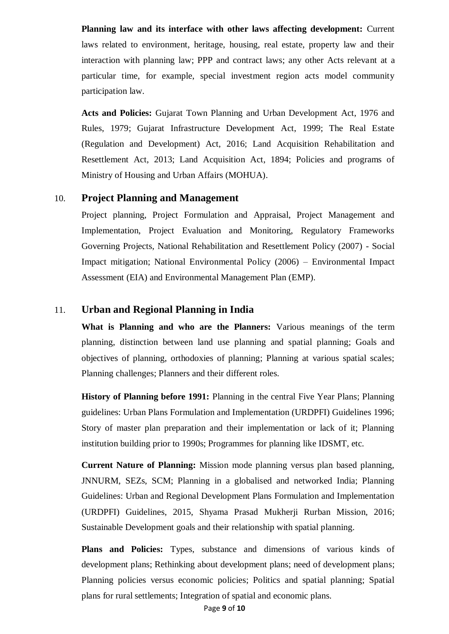**Planning law and its interface with other laws affecting development:** Current laws related to environment, heritage, housing, real estate, property law and their interaction with planning law; PPP and contract laws; any other Acts relevant at a particular time, for example, special investment region acts model community participation law.

**Acts and Policies:** Gujarat Town Planning and Urban Development Act, 1976 and Rules, 1979; Gujarat Infrastructure Development Act, 1999; The Real Estate (Regulation and Development) Act, 2016; Land Acquisition Rehabilitation and Resettlement Act, 2013; Land Acquisition Act, 1894; Policies and programs of Ministry of Housing and Urban Affairs (MOHUA).

#### 10. **Project Planning and Management**

Project planning, Project Formulation and Appraisal, Project Management and Implementation, Project Evaluation and Monitoring, Regulatory Frameworks Governing Projects, National Rehabilitation and Resettlement Policy (2007) - Social Impact mitigation; National Environmental Policy (2006) – Environmental Impact Assessment (EIA) and Environmental Management Plan (EMP).

#### 11. **Urban and Regional Planning in India**

**What is Planning and who are the Planners:** Various meanings of the term planning, distinction between land use planning and spatial planning; Goals and objectives of planning, orthodoxies of planning; Planning at various spatial scales; Planning challenges; Planners and their different roles.

**History of Planning before 1991:** Planning in the central Five Year Plans; Planning guidelines: Urban Plans Formulation and Implementation (URDPFI) Guidelines 1996; Story of master plan preparation and their implementation or lack of it; Planning institution building prior to 1990s; Programmes for planning like IDSMT, etc.

**Current Nature of Planning:** Mission mode planning versus plan based planning, JNNURM, SEZs, SCM; Planning in a globalised and networked India; Planning Guidelines: Urban and Regional Development Plans Formulation and Implementation (URDPFI) Guidelines, 2015, Shyama Prasad Mukherji Rurban Mission, 2016; Sustainable Development goals and their relationship with spatial planning.

**Plans and Policies:** Types, substance and dimensions of various kinds of development plans; Rethinking about development plans; need of development plans; Planning policies versus economic policies; Politics and spatial planning; Spatial plans for rural settlements; Integration of spatial and economic plans.